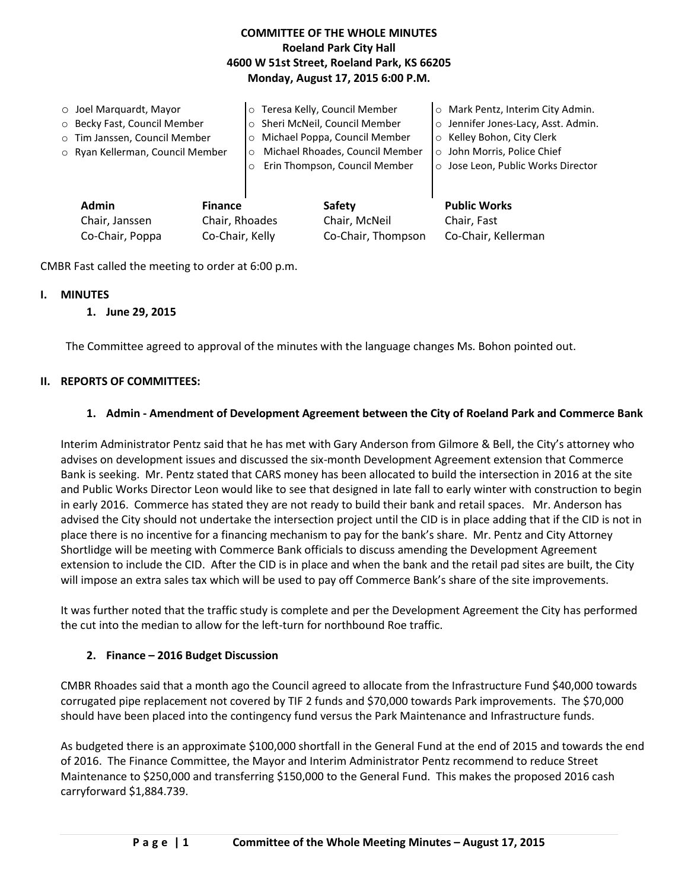# **COMMITTEE OF THE WHOLE MINUTES Roeland Park City Hall 4600 W 51st Street, Roeland Park, KS 66205 Monday, August 17, 2015 6:00 P.M.**

| $\circ$ Joel Marquardt, Mayor<br>o Becky Fast, Council Member<br>o Tim Janssen, Council Member<br>o Ryan Kellerman, Council Member |  | o Teresa Kelly, Council Member<br>o Sheri McNeil, Council Member<br>Michael Poppa, Council Member<br>$\circ$<br>Michael Rhoades, Council Member<br>$\circ$<br>Erin Thompson, Council Member |                                | O Mark Pentz, Interim City Admin.<br>o Jennifer Jones-Lacy, Asst. Admin.<br>○ Kelley Bohon, City Clerk<br>o John Morris, Police Chief<br>o Jose Leon, Public Works Director |
|------------------------------------------------------------------------------------------------------------------------------------|--|---------------------------------------------------------------------------------------------------------------------------------------------------------------------------------------------|--------------------------------|-----------------------------------------------------------------------------------------------------------------------------------------------------------------------------|
| Admin<br><b>Finance</b><br>Chair, Rhoades<br>Chair, Janssen                                                                        |  |                                                                                                                                                                                             | <b>Safety</b><br>Chair, McNeil | <b>Public Works</b><br>Chair, Fast                                                                                                                                          |

CMBR Fast called the meeting to order at 6:00 p.m.

## **I. MINUTES**

#### **1. June 29, 2015**

The Committee agreed to approval of the minutes with the language changes Ms. Bohon pointed out.

Co-Chair, Poppa Co-Chair, Kelly Co-Chair, Thompson Co-Chair, Kellerman

#### **II. REPORTS OF COMMITTEES:**

## **1. Admin - Amendment of Development Agreement between the City of Roeland Park and Commerce Bank**

Interim Administrator Pentz said that he has met with Gary Anderson from Gilmore & Bell, the City's attorney who advises on development issues and discussed the six-month Development Agreement extension that Commerce Bank is seeking. Mr. Pentz stated that CARS money has been allocated to build the intersection in 2016 at the site and Public Works Director Leon would like to see that designed in late fall to early winter with construction to begin in early 2016. Commerce has stated they are not ready to build their bank and retail spaces. Mr. Anderson has advised the City should not undertake the intersection project until the CID is in place adding that if the CID is not in place there is no incentive for a financing mechanism to pay for the bank's share. Mr. Pentz and City Attorney Shortlidge will be meeting with Commerce Bank officials to discuss amending the Development Agreement extension to include the CID. After the CID is in place and when the bank and the retail pad sites are built, the City will impose an extra sales tax which will be used to pay off Commerce Bank's share of the site improvements.

It was further noted that the traffic study is complete and per the Development Agreement the City has performed the cut into the median to allow for the left-turn for northbound Roe traffic.

## **2. Finance – 2016 Budget Discussion**

CMBR Rhoades said that a month ago the Council agreed to allocate from the Infrastructure Fund \$40,000 towards corrugated pipe replacement not covered by TIF 2 funds and \$70,000 towards Park improvements. The \$70,000 should have been placed into the contingency fund versus the Park Maintenance and Infrastructure funds.

As budgeted there is an approximate \$100,000 shortfall in the General Fund at the end of 2015 and towards the end of 2016. The Finance Committee, the Mayor and Interim Administrator Pentz recommend to reduce Street Maintenance to \$250,000 and transferring \$150,000 to the General Fund. This makes the proposed 2016 cash carryforward \$1,884.739.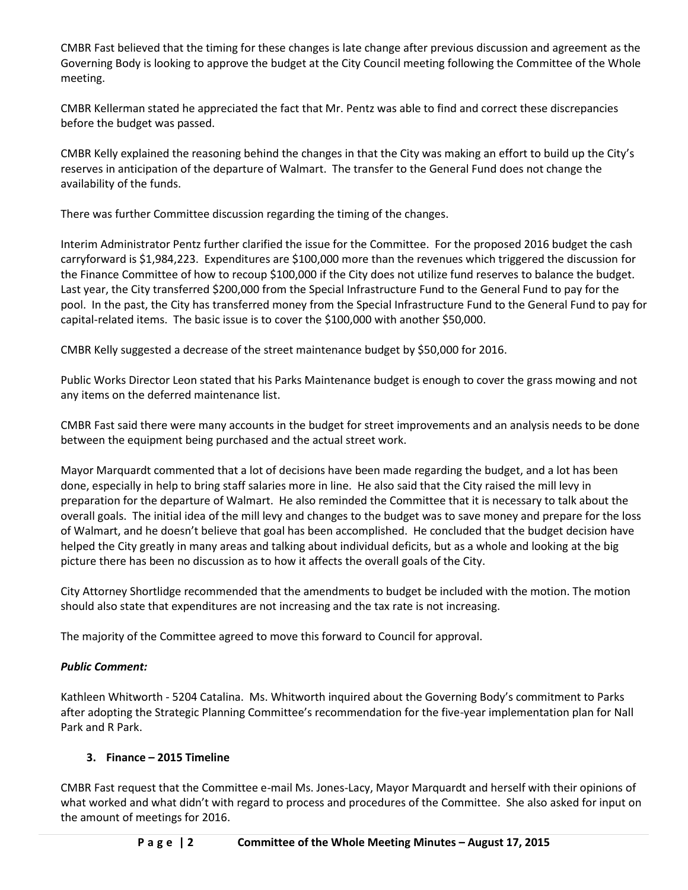CMBR Fast believed that the timing for these changes is late change after previous discussion and agreement as the Governing Body is looking to approve the budget at the City Council meeting following the Committee of the Whole meeting.

CMBR Kellerman stated he appreciated the fact that Mr. Pentz was able to find and correct these discrepancies before the budget was passed.

CMBR Kelly explained the reasoning behind the changes in that the City was making an effort to build up the City's reserves in anticipation of the departure of Walmart. The transfer to the General Fund does not change the availability of the funds.

There was further Committee discussion regarding the timing of the changes.

Interim Administrator Pentz further clarified the issue for the Committee. For the proposed 2016 budget the cash carryforward is \$1,984,223. Expenditures are \$100,000 more than the revenues which triggered the discussion for the Finance Committee of how to recoup \$100,000 if the City does not utilize fund reserves to balance the budget. Last year, the City transferred \$200,000 from the Special Infrastructure Fund to the General Fund to pay for the pool. In the past, the City has transferred money from the Special Infrastructure Fund to the General Fund to pay for capital-related items. The basic issue is to cover the \$100,000 with another \$50,000.

CMBR Kelly suggested a decrease of the street maintenance budget by \$50,000 for 2016.

Public Works Director Leon stated that his Parks Maintenance budget is enough to cover the grass mowing and not any items on the deferred maintenance list.

CMBR Fast said there were many accounts in the budget for street improvements and an analysis needs to be done between the equipment being purchased and the actual street work.

Mayor Marquardt commented that a lot of decisions have been made regarding the budget, and a lot has been done, especially in help to bring staff salaries more in line. He also said that the City raised the mill levy in preparation for the departure of Walmart. He also reminded the Committee that it is necessary to talk about the overall goals. The initial idea of the mill levy and changes to the budget was to save money and prepare for the loss of Walmart, and he doesn't believe that goal has been accomplished. He concluded that the budget decision have helped the City greatly in many areas and talking about individual deficits, but as a whole and looking at the big picture there has been no discussion as to how it affects the overall goals of the City.

City Attorney Shortlidge recommended that the amendments to budget be included with the motion. The motion should also state that expenditures are not increasing and the tax rate is not increasing.

The majority of the Committee agreed to move this forward to Council for approval.

# *Public Comment:*

Kathleen Whitworth - 5204 Catalina. Ms. Whitworth inquired about the Governing Body's commitment to Parks after adopting the Strategic Planning Committee's recommendation for the five-year implementation plan for Nall Park and R Park.

# **3. Finance – 2015 Timeline**

CMBR Fast request that the Committee e-mail Ms. Jones-Lacy, Mayor Marquardt and herself with their opinions of what worked and what didn't with regard to process and procedures of the Committee. She also asked for input on the amount of meetings for 2016.